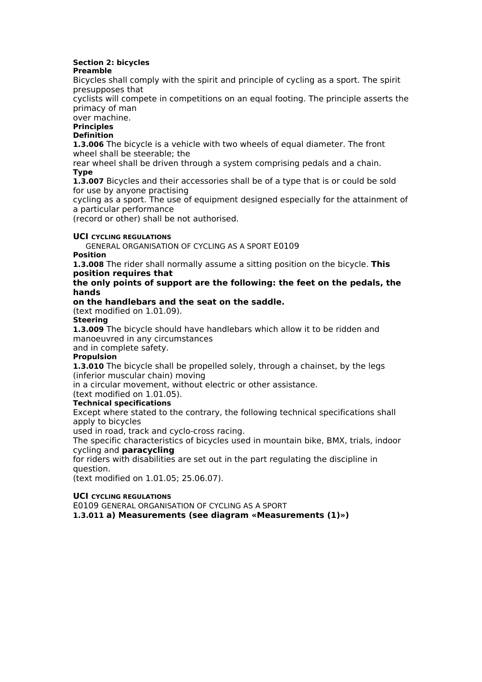### **Section 2: bicycles**

### **Preamble**

Bicycles shall comply with the spirit and principle of cycling as a sport. The spirit presupposes that

cyclists will compete in competitions on an equal footing. The principle asserts the primacy of man

over machine.

### **Principles**

**Definition**

**1.3.006** The bicycle is a vehicle with two wheels of equal diameter. The front wheel shall be steerable; the

rear wheel shall be driven through a system comprising pedals and a chain. **Type**

**1.3.007** Bicycles and their accessories shall be of a type that is or could be sold for use by anyone practising

cycling as a sport. The use of equipment designed especially for the attainment of a particular performance

(record or other) shall be not authorised.

### **UCI CYCLING REGULATIONS**

**56** GENERAL ORGANISATION OF CYCLING AS A SPORT E0109

### **Position**

**1.3.008** The rider shall normally assume a sitting position on the bicycle. **This position requires that**

### **the only points of support are the following: the feet on the pedals, the hands**

### **on the handlebars and the seat on the saddle.**

(text modified on 1.01.09).

### **Steering**

**1.3.009** The bicycle should have handlebars which allow it to be ridden and manoeuvred in any circumstances

and in complete safety.

### **Propulsion**

1.3.010 The bicycle shall be propelled solely, through a chainset, by the legs (inferior muscular chain) moving

in a circular movement, without electric or other assistance.

(text modified on 1.01.05).

### **Technical specifications**

Except where stated to the contrary, the following technical specifications shall apply to bicycles

used in road, track and cyclo-cross racing.

The specific characteristics of bicycles used in mountain bike, BMX, trials, indoor cycling and **paracycling**

for riders with disabilities are set out in the part regulating the discipline in question.

(text modified on 1.01.05; 25.06.07).

### **UCI CYCLING REGULATIONS**

E0109 GENERAL ORGANISATION OF CYCLING AS A SPORT **57**

**1.3.011 a) Measurements (see diagram «Measurements (1)»)**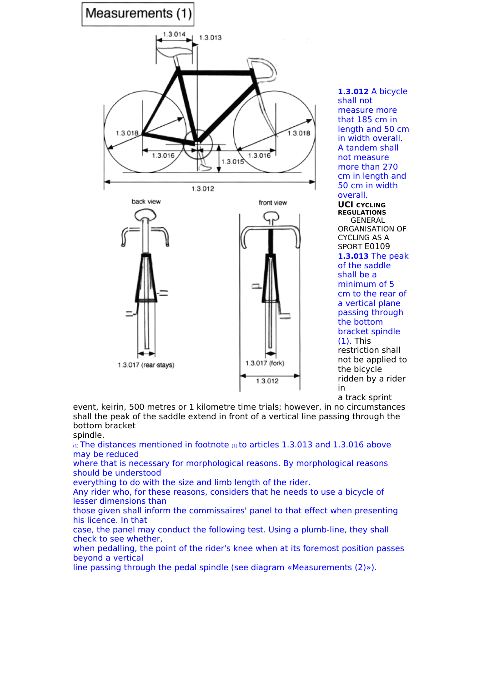

**1.3.012** A bicycle shall not measure more that 185 cm in length and 50 cm in width overall. A tandem shall not measure more than 270 cm in length and 50 cm in width overall.

**UCI CYCLING REGULATIONS 58** GENERAL ORGANISATION OF CYCLING AS A SPORT E0109 **1.3.013** The peak of the saddle shall be a minimum of 5 cm to the rear of a vertical plane passing through the bottom bracket spindle (1). This restriction shall not be applied to the bicycle ridden by a rider in

a track sprint event, keirin, 500 metres or 1 kilometre time trials; however, in no circumstances shall the peak of the saddle extend in front of a vertical line passing through the bottom bracket

### spindle.

 $\alpha$ ) The distances mentioned in footnote  $\alpha$ ) to articles 1.3.013 and 1.3.016 above may be reduced

where that is necessary for morphological reasons. By morphological reasons should be understood

everything to do with the size and limb length of the rider.

Any rider who, for these reasons, considers that he needs to use a bicycle of lesser dimensions than

those given shall inform the commissaires' panel to that effect when presenting his licence. In that

case, the panel may conduct the following test. Using a plumb-line, they shall check to see whether,

when pedalling, the point of the rider's knee when at its foremost position passes beyond a vertical

line passing through the pedal spindle (see diagram «Measurements (2)»).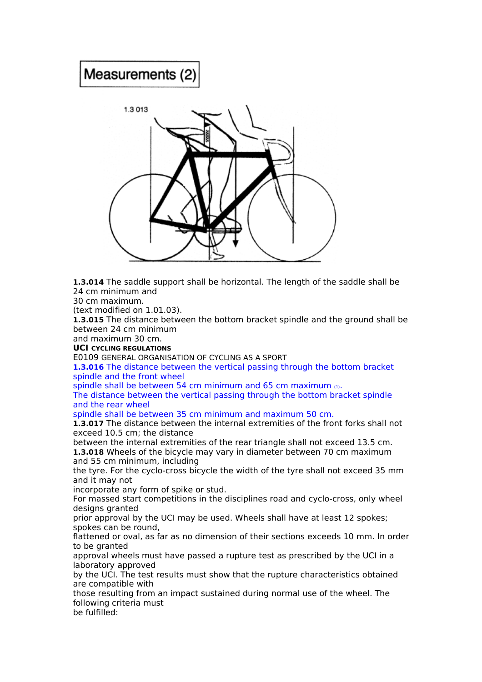## **Measurements (2)**



**1.3.014** The saddle support shall be horizontal. The length of the saddle shall be 24 cm minimum and

30 cm maximum.

(text modified on 1.01.03).

**1.3.015** The distance between the bottom bracket spindle and the ground shall be between 24 cm minimum

and maximum 30 cm.

### **UCI CYCLING REGULATIONS**

E0109 GENERAL ORGANISATION OF CYCLING AS A SPORT **59**

**1.3.016** The distance between the vertical passing through the bottom bracket spindle and the front wheel

spindle shall be between 54 cm minimum and 65 cm maximum (1).

The distance between the vertical passing through the bottom bracket spindle and the rear wheel

spindle shall be between 35 cm minimum and maximum 50 cm.

**1.3.017** The distance between the internal extremities of the front forks shall not exceed 10.5 cm; the distance

between the internal extremities of the rear triangle shall not exceed 13.5 cm. **1.3.018** Wheels of the bicycle may vary in diameter between 70 cm maximum and 55 cm minimum, including

the tyre. For the cyclo-cross bicycle the width of the tyre shall not exceed 35 mm and it may not

incorporate any form of spike or stud.

For massed start competitions in the disciplines road and cyclo-cross, only wheel designs granted

prior approval by the UCI may be used. Wheels shall have at least 12 spokes; spokes can be round,

flattened or oval, as far as no dimension of their sections exceeds 10 mm. In order to be granted

approval wheels must have passed a rupture test as prescribed by the UCI in a laboratory approved

by the UCI. The test results must show that the rupture characteristics obtained are compatible with

those resulting from an impact sustained during normal use of the wheel. The following criteria must

be fulfilled: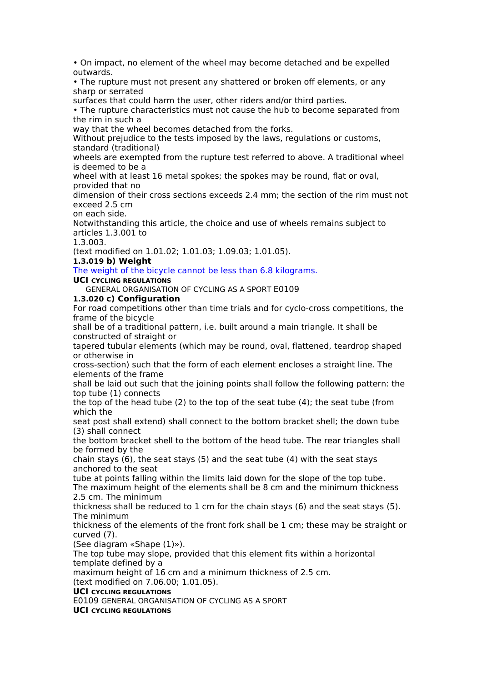• On impact, no element of the wheel may become detached and be expelled outwards.

• The rupture must not present any shattered or broken off elements, or any sharp or serrated

surfaces that could harm the user, other riders and/or third parties.

• The rupture characteristics must not cause the hub to become separated from the rim in such a

way that the wheel becomes detached from the forks.

Without prejudice to the tests imposed by the laws, regulations or customs, standard (traditional)

wheels are exempted from the rupture test referred to above. A traditional wheel is deemed to be a

wheel with at least 16 metal spokes; the spokes may be round, flat or oval, provided that no

dimension of their cross sections exceeds 2.4 mm; the section of the rim must not exceed 2.5 cm

on each side.

Notwithstanding this article, the choice and use of wheels remains subject to articles 1.3.001 to

1.3.003.

(text modified on 1.01.02; 1.01.03; 1.09.03; 1.01.05).

### **1.3.019 b) Weight**

The weight of the bicycle cannot be less than 6.8 kilograms.

**UCI CYCLING REGULATIONS**

**60** GENERAL ORGANISATION OF CYCLING AS A SPORT E0109

### **1.3.020 c) Configuration**

For road competitions other than time trials and for cyclo-cross competitions, the frame of the bicycle

shall be of a traditional pattern, i.e. built around a main triangle. It shall be constructed of straight or

tapered tubular elements (which may be round, oval, flattened, teardrop shaped or otherwise in

cross-section) such that the form of each element encloses a straight line. The elements of the frame

shall be laid out such that the joining points shall follow the following pattern: the top tube (1) connects

the top of the head tube (2) to the top of the seat tube (4); the seat tube (from which the

seat post shall extend) shall connect to the bottom bracket shell; the down tube (3) shall connect

the bottom bracket shell to the bottom of the head tube. The rear triangles shall be formed by the

chain stays (6), the seat stays (5) and the seat tube (4) with the seat stays anchored to the seat

tube at points falling within the limits laid down for the slope of the top tube. The maximum height of the elements shall be 8 cm and the minimum thickness 2.5 cm. The minimum

thickness shall be reduced to 1 cm for the chain stays (6) and the seat stays (5). The minimum

thickness of the elements of the front fork shall be 1 cm; these may be straight or curved (7).

(See diagram «Shape (1)»).

The top tube may slope, provided that this element fits within a horizontal template defined by a

maximum height of 16 cm and a minimum thickness of 2.5 cm.

(text modified on 7.06.00; 1.01.05).

### **UCI CYCLING REGULATIONS**

E0109 GENERAL ORGANISATION OF CYCLING AS A SPORT **61**

**UCI CYCLING REGULATIONS**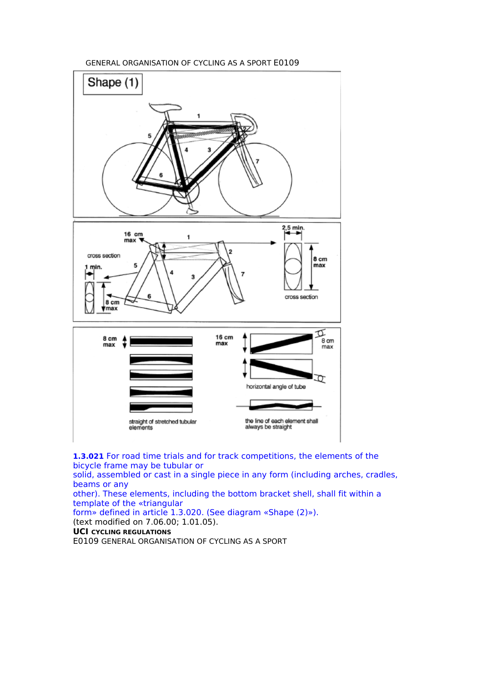**62** GENERAL ORGANISATION OF CYCLING AS A SPORT E0109



**1.3.021** For road time trials and for track competitions, the elements of the bicycle frame may be tubular or

solid, assembled or cast in a single piece in any form (including arches, cradles, beams or any

other). These elements, including the bottom bracket shell, shall fit within a template of the «triangular

form» defined in article 1.3.020. (See diagram «Shape (2)»).

(text modified on 7.06.00; 1.01.05).

**UCI CYCLING REGULATIONS**

E0109 GENERAL ORGANISATION OF CYCLING AS A SPORT **63**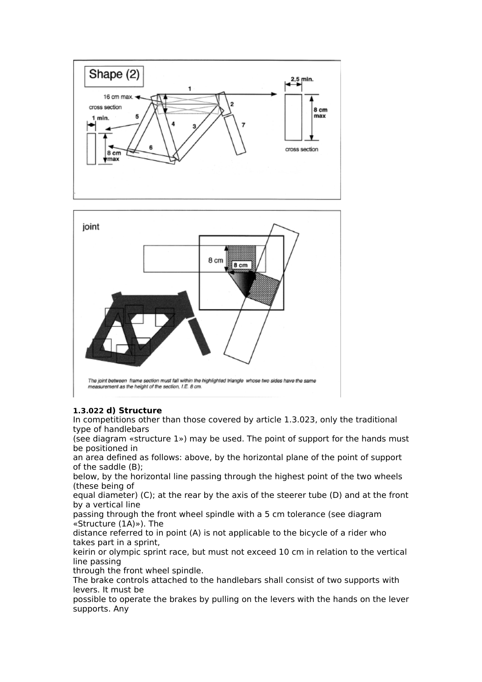



### **1.3.022 d) Structure**

In competitions other than those covered by article 1.3.023, only the traditional type of handlebars

(see diagram «structure 1») may be used. The point of support for the hands must be positioned in

an area defined as follows: above, by the horizontal plane of the point of support of the saddle (B);

below, by the horizontal line passing through the highest point of the two wheels (these being of

equal diameter) (C); at the rear by the axis of the steerer tube (D) and at the front by a vertical line

passing through the front wheel spindle with a 5 cm tolerance (see diagram «Structure (1A)»). The

distance referred to in point (A) is not applicable to the bicycle of a rider who takes part in a sprint,

keirin or olympic sprint race, but must not exceed 10 cm in relation to the vertical line passing

through the front wheel spindle.

The brake controls attached to the handlebars shall consist of two supports with levers. It must be

possible to operate the brakes by pulling on the levers with the hands on the lever supports. Any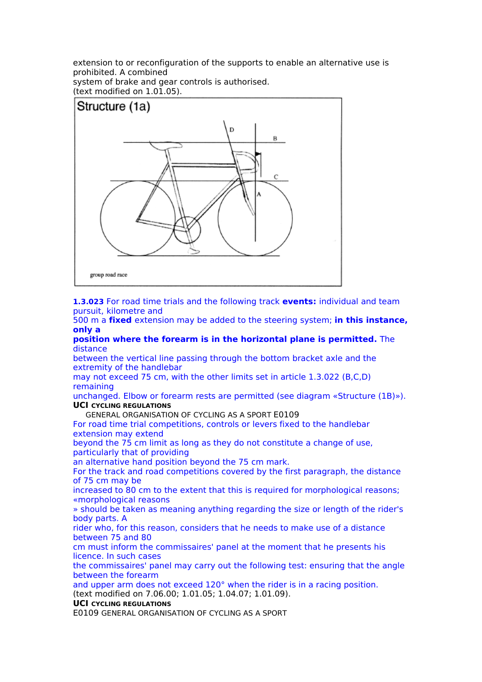extension to or reconfiguration of the supports to enable an alternative use is prohibited. A combined

system of brake and gear controls is authorised. (text modified on 1.01.05).



**1.3.023** For road time trials and the following track **events:** individual and team pursuit, kilometre and

500 m a **fixed** extension may be added to the steering system; **in this instance, only a**

**position where the forearm is in the horizontal plane is permitted.** The distance

between the vertical line passing through the bottom bracket axle and the extremity of the handlebar

may not exceed 75 cm, with the other limits set in article 1.3.022 (B,C,D) remaining

unchanged. Elbow or forearm rests are permitted (see diagram «Structure (1B)»). **UCI CYCLING REGULATIONS**

**GENERAL ORGANISATION OF CYCLING AS A SPORT E0109** 

For road time trial competitions, controls or levers fixed to the handlebar extension may extend

beyond the 75 cm limit as long as they do not constitute a change of use, particularly that of providing

an alternative hand position beyond the 75 cm mark.

For the track and road competitions covered by the first paragraph, the distance of 75 cm may be

increased to 80 cm to the extent that this is required for morphological reasons; «morphological reasons

» should be taken as meaning anything regarding the size or length of the rider's body parts. A

rider who, for this reason, considers that he needs to make use of a distance between 75 and 80

cm must inform the commissaires' panel at the moment that he presents his licence. In such cases

the commissaires' panel may carry out the following test: ensuring that the angle between the forearm

and upper arm does not exceed 120° when the rider is in a racing position. (text modified on 7.06.00; 1.01.05; 1.04.07; 1.01.09).

### **UCI CYCLING REGULATIONS**

E0109 GENERAL ORGANISATION OF CYCLING AS A SPORT **65**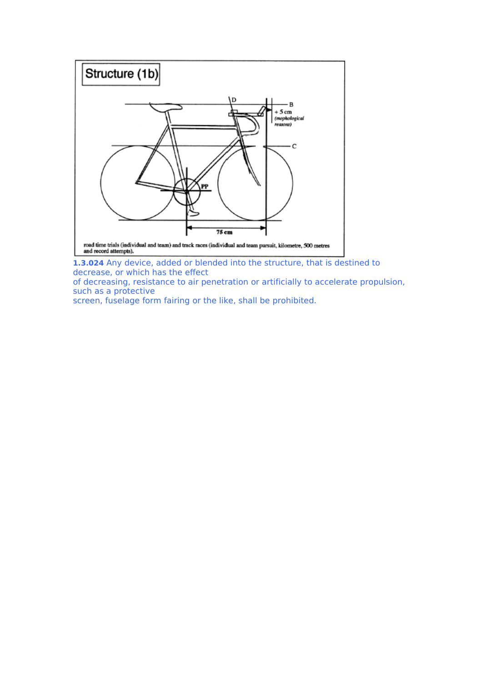

**1.3.024** Any device, added or blended into the structure, that is destined to decrease, or which has the effect

of decreasing, resistance to air penetration or artificially to accelerate propulsion, such as a protective

screen, fuselage form fairing or the like, shall be prohibited.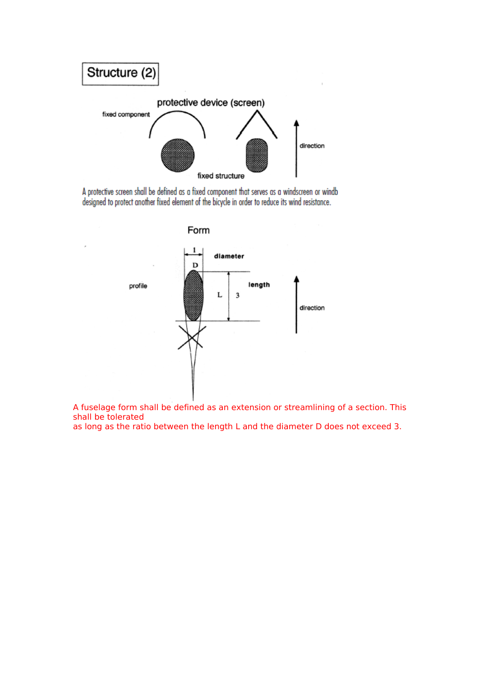

A protective screen shall be defined as a fixed component that serves as a windscreen or windb<br>designed to protect another fixed element of the bicycle in order to reduce its wind resistance.



A fuselage form shall be defined as an extension or streamlining of a section. This shall be tolerated

as long as the ratio between the length L and the diameter D does not exceed 3.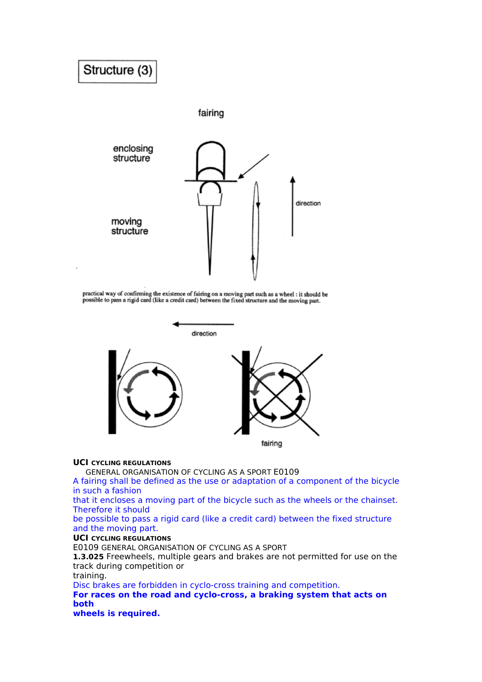# Structure (3) fairing enclosing structure direction moving structure

practical way of confirming the existence of fairing on a moving part such as a wheel : it should be<br>possible to pass a rigid card (like a credit card) between the fixed structure and the moving part.



### **UCI CYCLING REGULATIONS**

**GENERAL ORGANISATION OF CYCLING AS A SPORT E0109** 

A fairing shall be defined as the use or adaptation of a component of the bicycle in such a fashion

that it encloses a moving part of the bicycle such as the wheels or the chainset. Therefore it should

be possible to pass a rigid card (like a credit card) between the fixed structure and the moving part.

### **UCI CYCLING REGULATIONS**

E0109 GENERAL ORGANISATION OF CYCLING AS A SPORT **67**

**1.3.025** Freewheels, multiple gears and brakes are not permitted for use on the track during competition or

training.

Disc brakes are forbidden in cyclo-cross training and competition.

**For races on the road and cyclo-cross, a braking system that acts on both**

**wheels is required.**